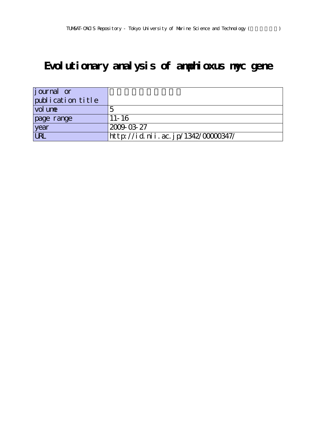# **Evolutionary analysis of amphioxus myc gene**

| journal or        |                                    |
|-------------------|------------------------------------|
| publication title |                                    |
| vol une           |                                    |
| page range        | $11 - 16$                          |
| year              | 2009-03-27                         |
| <b>LRL</b>        | http://id.nii.ac.jp/1342/00000347/ |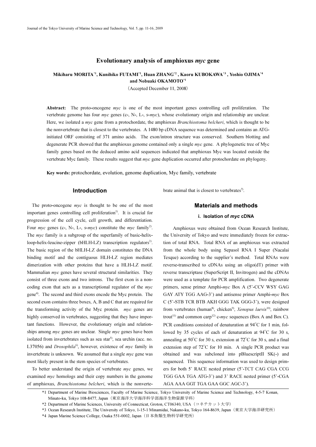# Evolutionary analysis of amphioxus myc gene

# Mikiharu MORITA\*1, Kunihiko FUTAMI\*1, Huan ZHANG\*2 , Kaoru KUBOKAWA\*3 , Yoshio OJIMA\*4 and Nobuaki OKAMOTO\*1

(Accepted December 11, 2008)

Abstract: The proto-oncogene myc is one of the most important genes controlling cell proliferation. The vertebrate genome has four *myc* genes (c-, N-, L-, s-*myc*), whose evolutionary origin and relationship are unclear. Here, we isolated a myc gene from a protochordate, the amphioxus Branchiostoma belcheri, which is thought to be the nonvertebrate that is closest to the vertebrates. A 1480 bp cDNA sequence was determined and contains an ATGinitiated ORF consisting of 371 amino acids. The exon/intron structure was conserved. Southern blotting and degenerate PCR showed that the amphioxus genome contained only a single *myc* gene. A phylogenetic tree of Myc family genes based on the deduced amino acid sequences indicated that amphioxus Myc was located outside the vertebrate Myc family. These results suggest that *myc* gene duplication occurred after protochordate on phylogeny.

Key words: protochordate, evolution, genome duplication, Myc family, vertebrate

#### Introduction

The proto-oncogene  $\mathit{myc}$  is thought to be one of the most important genes controlling cell proliferation<sup>1)</sup>. It is crucial for progression of the cell cycle, cell growth, and differentiation. Four *myc* genes (c-, N-, L-, s-*myc*) constitute the *myc* family<sup>2</sup>. The myc family is a subgroup of the superfamily of basic-helixloop-helix-leucine-zipper (bHLH-LZ) transcription regulators<sup>3)</sup>. The basic region of the bHLH-LZ domain constitutes the DNA binding motif and the contiguous HLH-LZ region mediates dimerization with other proteins that have a HLH-LZ motif. Mammalian  $myc$  genes have several structural similarities. They consist of three exons and two introns. The first exon is a noncoding exon that acts as a transcriptional regulator of the myc gene4). The second and third exons encode the Myc protein. The second exon contains three boxes, A, B and C that are required for the transforming activity of the Myc protein. myc genes are highly conserved in vertebrates, suggesting that they have important functions. However, the evolutionary origin and relationships among *myc* genes are unclear. Single *myc* genes have been isolated from invertebrates such as sea star<sup>5)</sup>, sea urchin (acc. no. L37056) and *Drosophila*<sup>6)</sup>, however, existence of *myc* family in invertebrate is unknown. We assumed that a single myc gene was most likely present in the stem species of vertebrates.

To better understand the origin of vertebrate myc genes, we examined *myc* homologs and their copy numbers in the genome of amphioxus, Branchiostoma belcheri, which is the nonvertebrate animal that is closest to vertebrates<sup>7</sup>.

# Materials and methods

## i. Isolation of myc cDNA

Amphioxus were obtained from Ocean Research Institute, the University of Tokyo and were immediately frozen for extraction of total RNA. Total RNA of an amphioxus was extracted from the whole body using Sepasol RNA I Super (Nacalai Tesque) according to the supplier's method. Total RNAs were reverse-transcribed to cDNAs using an oligo(dT) primer with reverse transcriptase (SuperScript II, Invitrogen) and the cDNAs were used as a template for PCR amplification. Two degenerate primers, sense primer Amphi-myc Box A (5'-CCV WSY GAG GAY ATY TGG AAG-3') and antisense primer Amphi-myc Box C (5'-STB TCR BTB AKH GGG TAK GGG-3'), were designed from vertebrates (human<sup>8)</sup>, chicken<sup>9)</sup>, *Xenopus laevis*<sup>10)</sup>, rainbow trout<sup>11)</sup> and common carp<sup>12)</sup> c-myc sequences (Box A and Box C). PCR conditions consisted of denaturation at 94°C for 1 min, followed by 35 cycles of each of denaturation at 94°C for 30 s, annealing at 50°C for 30 s, extension at 72°C for 30 s, and a final extension step of 72°C for 10 min. A single PCR product was obtained and was subcloned into pBluescriptII SK(-) and sequenced. This sequence information was used to design primers for both 5' RACE nested primer (5'-TCT CAG CGA CCG TGG GAA TGA ATG-3') and 3' RACE nested primer (5'-CGA AGA AAA GGT TGA GAA GGC AGC-3').

<sup>\*1</sup> Department of Marine Biosciences, Faculty of Marine Science, Tokyo University of Marine Science and Technology, 4-5-7 Konan, Minato-ku, Tokyo 108-8477, Japan(東京海洋大学海洋科学部海洋生物資源学科)

<sup>\*2</sup> Department of Marine Sciences, University of Connecticut, Groton, CT06340, USA (コネチカット大学)

<sup>\*3</sup> Ocean Research Institute, The University of Tokyo, 1-15-1 Minamidai, Nakano-ku, Tokyo 164-8639, Japan(東京大学海洋研究所)

<sup>\*4</sup> Japan Marine Science College, Osaka 551-0002, Japan(日本魚類生物科学研究所)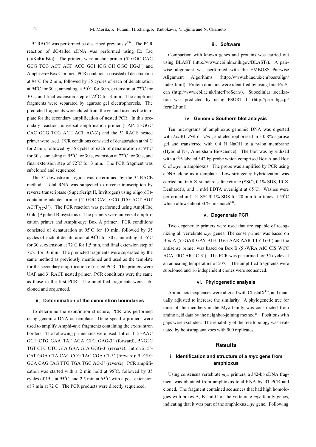5' RACE was performed as described previously<sup>13)</sup>. The PCR reaction of dC-tailed cDNA was performed using Ex Taq (TaKaRa Bio). The primers were anchor primer (5'-GGC CAC GCG TCG ACT AGT ACG GGI IGG GII GGG IIG-3') and Amphi-myc Box C primer. PCR conditions consisted of denaturation at 94°C for 2 min, followed by 35 cycles of each of denaturation at 94°C for 30 s, annealing at 50°C for 30 s, extension at 72°C for 30 s, and final extension step of 72°C for 3 min. The amplified fragments were separated by agarose gel electrophoresis. The predicted fragments were eluted from the gel and used as the template for the secondary amplification of nested PCR. In this secondary reaction, universal amplification primer (UAP: 5'-GGC CAC GCG TCG ACT AGT AC-3') and the 5' RACE nested primer were used. PCR conditions consisted of denaturation at 94°C for 2 min, followed by 35 cycles of each of denaturation at 94°C for 30 s, annealing at 55°C for 30 s, extension at 72°C for 30 s, and final extension step of 72°C for 3 min. The PCR fragment was subcloned and sequenced.

The 3' downstream region was determined by the 3' RACE method. Total RNA was subjected to reverse transcription by reverse transcriptase (SuperScript II, Invitrogen) using oligo(dT) containing adapter primer (5'-GGC CAC GCG TCG ACT AGT  $AC(T)_{17}$ -3'). The PCR reaction was performed using AmpliTaq Gold (Applied Biosystems). The primers were universal amplification primer and Amphi-myc Box A primer. PCR conditions consisted of denaturation at 95°C for 10 min, followed by 35 cycles of each of denaturation at 94°C for 30 s, annealing at 55°C for 30 s, extension at 72°C for 1.5 min, and final extension step of 72°C for 10 min. The predicted fragments were separated by the same method as previously mentioned and used as the template for the secondary amplification of nested PCR. The primers were UAP and 3' RACE nested primer. PCR conditions were the same as those in the first PCR. The amplified fragments were subcloned and sequenced.

#### ii. Determination of the exon/intron boundaries

To determine the exon/intron structure, PCR was performed using genomic DNA as template. Gene specific primers were used to amplify Amphi-myc fragments containing the exon/intron borders. The following primer sets were used: Intron 1, 5'-AAC GCT CTG GAA TAT AGA GTG GAG-3' (forward); 5'-GTC TGT CTC CTC GTA GAA GTA GGG-3' (reverse). Intron 2, 5'- CAT GGA CTA CAC CCG TAC CGA CT-3' (forward); 5'-GTG GCA CAG TAG TTG TGA TGG AC-3' (reverse). PCR amplification was started with a 2 min hold at 95°C, followed by 35 cycles of 15 s at 95°C, and 2.5 min at 65°C with a post-extension of 7 min at 72°C. The PCR products were directly sequenced.

#### iii. Software

Comparison with known genes and proteins was carried out using BLAST (http://www.ncbi.nlm.nih.gov/BLAST/). A pairwise alignment was performed with the EMBOSS Pairwise Alignment Algorithms (http://www.ebi.ac.uk/emboss/align/ index.html). Protein domains were identified by using InterProScan (http://www.ebi.ac.uk/InterProScan/). Subcellular localization was predicted by using PSORT II (http://psort.hgc.jp/ form2.html).

#### iv. Genomic Southern blot analysis

Ten micrograms of amphioxus genomic DNA was digested with EcoRI, PstI or XbaI, and electrophoresed in a 0.8% agarose gel and transferred with 0.4 N NaOH to a nylon membrane (Hybond N+, Amersham Bioscience). The blot was hybridized with a <sup>32</sup>P-labeled 342 bp probe which comprised Box A and Box C of myc in amphioxus. The probe was amplified by PCR using cDNA clone as a template. Low-stringency hybridization was carried out in 6  $\times$  standard saline citrate (SSC), 0.1% SDS, 10  $\times$ Denhardt's, and 1 mM EDTA overnight at 65°C. Washes were performed in  $1 \times$  SSC/0.1% SDS for 20 min four times at 55<sup>°</sup>C which allows about 30% mismatch $14$ <sup>14)</sup>.

#### v.Degenerate PCR

Two degenerate primers were used that are capable of recognizing all vertebrate *myc* genes. The sense primer was based on Box A (5'-GAR GAY ATH TGG AAR AAR TTY G-3') and the antisense primer was based on Box B (5'-WRA AIC CIS WCC ACA TRC ART C-3'). The PCR was performed for 35 cycles at an annealing temperature of 50°C. The amplified fragments were subcloned and 16 independent clones were sequenced.

#### vi. Phylogenetic analysis

Amino acid sequences were aligned with Clustal $X<sup>15</sup>$ , and manually adjusted to increase the similarity. A phylogenetic tree for most of the members in the Myc family was constructed from amino acid data by the neighbor-joining method $16$ . Positions with gaps were excluded. The reliability of the tree topology was evaluated by bootstrap analyses with 500 replicates.

## **Results**

# i. Identification and structure of a  $myc$  gene from amphioxus

Using consensus vertebrate myc primers, a 342-bp cDNA fragment was obtained from amphioxus total RNA by RT-PCR and cloned. The fragment contained sequences that had high homologies with boxes A, B and C of the vertebrate myc family genes, indicating that it was part of the amphioxus myc gene. Following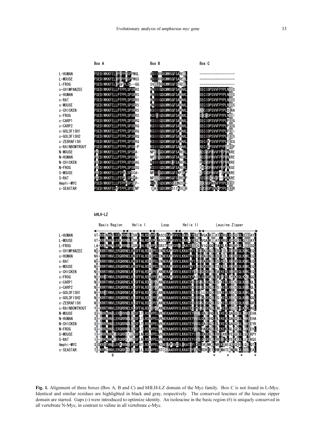

L-FROG l FR  $\cup$ c-CHIMPANZEE **ND** c-HUMAN **NV**  $c$ -RAT **ND** c-MOUSE N c-CHICKEN Nī c-FR0G NĪ c-CARP1 ΝĪ c-CARP2 c-GOLDFISH1 ΝĪ c-GOLDFISH2 ΝĪ c-ZEBRAFISH ΝĪ c-RAINBOWTROUT N-MOUSE N-HUMAN HN I N-CHICKEN N-FROG S-MOUSE S-RAT Amphi-MYC c-SEASTAR



Fig. 1. Alignment of three boxes (Box A, B and C) and bHLH-LZ domain of the Myc family. Box C is not found in L-Myc. Identical and similar residues are highlighted in black and gray, respectively. The conserved leucines of the leucine zipper domain are starred. Gaps (-) were introduced to optimize identity. An isoleucine in the basic region (#) is uniquely conserved in all vertebrate N-Myc, in contrast to valine in all vertebrate c-Myc.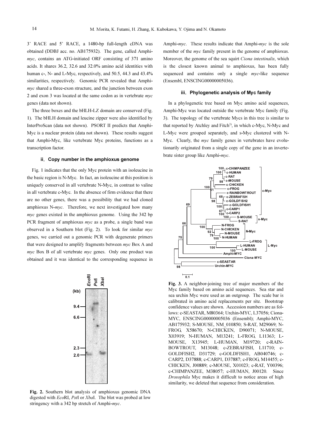3' RACE and 5' RACE, a 1480-bp full-length cDNA was obtained (DDBJ acc. no. AB175932). The gene, called Amphimyc, contains an ATG-initiated ORF consisting of 371 amino acids. It shares 36.2, 32.6 and 32.0% amino acid identities with human c-, N- and L-Myc, respectively, and 50.5, 44.3 and 43.4% similarities, respectively. Genomic PCR revealed that Amphimyc shared a three-exon structure, and the junction between exon 2 and exon 3 was located at the same codon as in vertebrate myc genes (data not shown).

The three boxes and the bHLH-LZ domain are conserved (Fig. 1). The bHLH domain and leucine zipper were also identified by InterProScan (data not shown). PSORT II predicts that Amphi-Myc is a nuclear protein (data not shown). These results suggest that Amphi-Myc, like vertebrate Myc proteins, functions as a transcription factor.

#### ii. Copy number in the amphioxus genome

Fig. 1 indicates that the only Myc protein with an isoleucine in the basic region is N-Myc. In fact, an isoleucine at this position is uniquely conserved in all vertebrate N-Myc, in contrast to valine in all vertebrate c-Myc. In the absence of firm evidence that there are no other genes, there was a possibility that we had cloned amphioxus N-myc. Therefore, we next investigated how many myc genes existed in the amphioxus genome. Using the 342 bp PCR fragment of amphioxus myc as a probe, a single band was observed in a Southern blot (Fig. 2). To look for similar  $myc$ genes, we carried out a genomic PCR with degenerate primers that were designed to amplify fragments between myc Box A and myc Box B of all vertebrate myc genes. Only one product was obtained and it was identical to the corresponding sequence in



Fig. 2. Southern blot analysis of amphioxus genomic DNA digested with EcoRI, PstI or XbaI. The blot was probed at low stringency with a 342 bp stretch of Amphi-myc.

Amphi-myc. These results indicate that Amphi-myc is the sole member of the *myc* family present in the genome of amphioxus. Moreover, the genome of the sea squirt Ciona intestinalis, which is the closest known animal to amphioxus, has been fully sequenced and contains only a single *myc*-like sequence (Ensembl, ENSCING00000005036).

#### iii. Phylogenetic analysis of Myc family

In a phylogenetic tree based on Myc amino acid sequences, Amphi-Myc was located outside the vertebrate Myc family (Fig. 3). The topology of the vertebrate Mycs in this tree is similar to that reported by Atchley and Fitch $3$ ), in which c-Myc, N-Myc and L-Myc were grouped separately, and s-Myc clustered with N-Myc. Clearly, the *myc* family genes in vertebrates have evolutionarily originated from a single copy of the gene in an invertebrate sister group like Amphi-myc.



Fig. 3. A neighbor-joining tree of major members of the Myc family based on amino acid sequences. Sea star and sea urchin Myc were used as an outgroup. The scale bar is calibrated in amino acid replacements per site. Bootstrap confidence values are shown. Accession numbers are as follows: c-SEASTAR, M80364; Urchin-MYC, L37056; Ciona-MYC, ENSCING00000005036 (Ensembl); Amphi-MYC, AB175932; S-MOUSE, NM\_010850; S-RAT, M29069; N-FROG, X58670; N-CHICKEN, D90071; N-MOUSE, X03919; N-HUMAN, M13241; L-FROG, L11363; L-MOUSE, X13945; L-HUMAN, M19720; c-RAIN-BOWTROUT, M13048; c-ZEBRAFISH, L11710; c-GOLDFISH2, D31729; c-GOLDFISH1, AB040746; c-CARP2, D37888; c-CARP1, D37887; c-FROG, M14455; c-CHICKEN, J00889; c-MOUSE, X01023; c-RAT, Y00396; c-CHIMPANZEE, M38057; c-HUMAN, J00120. Since Drosophila Myc makes it difficult to notice areas of high similarity, we deleted that sequence from consideration.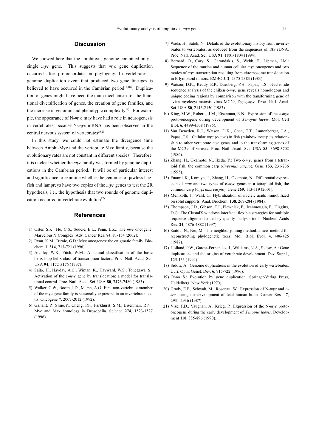# **Discussion**

We showed here that the amphioxus genome contained only a single myc gene. This suggests that myc gene duplication occurred after protochordate on phylogeny. In vertebrates, a genome duplication event that produced two gene lineages is believed to have occurred in the Cambrian period<sup>17,18)</sup>. Duplication of genes might have been the main mechanism for the functional diversification of genes, the creation of gene families, and the increase in genomic and phenotypic complexity $19$ . For example, the appearance of N-myc may have had a role in neurogenesis in vertebrates, because N-myc mRNA has been observed in the central nervous system of vertebrates $20,21$ .

In this study, we could not estimate the divergence time between Amphi-Myc and the vertebrate Myc family, because the evolutionary rates are not constant in different species. Therefore, it is unclear whether the myc family was formed by genome duplications in the Cambrian period. It will be of particular interest and significance to examine whether the genomes of jawless hagfish and lampreys have two copies of the myc genes to test the 2R hypothesis, i.e., the hypothesis that two rounds of genome duplication occurred in vertebrate evolution $17$ .

## **References**

- 1) Oster, S.K., Ho, C.S., Soucie, E.L., Penn, L.Z.: The myc oncogene: MarvelouslY Complex. Adv. Cancer Res. 84, 81-154 (2002).
- 2) Ryan, K.M., Birnie, G.D.: Myc oncogenes: the enigmatic family. Biochem. J. 314, 713-721 (1996).
- 3) Atchley, W.R., Fitch, W.M.: A natural classification of the basic helix-loop-helix class of transcription factors. Proc. Natl. Acad. Sci. USA 94, 5172-5176 (1997).
- 4) Saito, H., Hayday, A.C., Wiman, K., Hayward, W.S., Tonegawa, S.: Activation of the c-myc gene by translocation: a model for translational control. Proc. Natl. Acad. Sci. USA 80, 7476-7480 (1983).
- 5) Walker, C.W., Boom, J.D., Marsh, A.G.: First non-vertebrate member of the myc gene family is seasonally expressed in an invertebrate testis. Oncogene 7, 2007-2012 (1992).
- 6) Gallant, P., Shiio,Y., Cheng, P.F., Parkhurst, S.M., Eisenman, R.N.: Myc and Max homologs in Drosophila. Science 274, 1523-1527 (1996).
- 7) Wada, H., Satoh, N.: Details of the evolutionary history from invertebrates to vertebrates, as deduced from the sequences of 18S rDNA. Proc. Natl. Acad. Sci. USA 91, 1801-1804 (1994).
- 8) Bernard, O., Cory, S., Gerondakis, S., Webb, E., Lipman, J.M.: Sequence of the murine and human cellular myc oncogenes and two modes of myc transcription resulting from chromosome translocation in B lymphoid tumors. EMBO J. 2, 2375-2383 (1983).
- 9) Watson, D.K., Reddy, E.P., Duesberg, P.H., Papas, T.S.: Nucleotide sequence analysis of the chiken c-myc gene reveals homologous and unique coding regions by comparison with the transforming gene of avian myelocytimatosis virus MC29, Dgag-myc. Proc. Natl. Acad. Sci. USA 80, 2146-2150 (1983).
- 10) King, M.W., Roberts, J.M., Eisenman, R.N.: Expression of the c-myc proto-oncogene during development of Xenopus laevis. Mol. Cell Biol. 6, 4499-4508 (1986).
- 11) Van Beneden, R.J., Watson, D.K., Chen, T.T., Lautenberger, J.A., Papas, T.S.: Cellular myc (c-myc) in fish (rainbow trout): its relationship to other vertebrate *myc* genes and to the transforming genes of the MC29 of viruses. Proc. Natl. Acad. Sci. USA 83, 3698-3702  $(1986)$
- 12) Zhang, H., Okamoto, N., Ikeda, Y.: Two c-myc genes from a tetraploid fish, the common carp (Cyprinus carpio). Gene 153, 231-236  $(1995)$
- 13) Futami, K., Komiya, T., Zhang, H., Okamoto, N.: Differential expression of max and two types of c-myc genes in a tetraploid fish, the common carp (Cyprinus carpio). Gene 269, 113-119 (2001).
- 14) Meinkoth, J., Wahl, G.: Hybridization of nucleic acids immobilized on solid supports. Anal. Biochem. 138, 267-284 (1984).
- 15) Thompson, J.D., Gibson, T.J., Plewniak, F., Jeanmougin, F., Higgins, D.G.: The ClustalX windows interface: flexible strategies for multiple sequence alignment aided by quality analysis tools. Nucleic. Acids Res. 24, 4876-4882 (1997).
- 16) Saitou, N., Nei, M.: The neighbor-joining method: a new method for reconstructing phylogenetic trees. Mol. Biol. Evol. 4, 406-425 (1987).
- 17) Holland, P.W., Garcia-Fernandez, J., Williams, N.A., Sidow, A.: Gene duplications and the origins of vertebrate development. Dev. Suppl., 125-133 (1994).
- 18) Sidow, A.: Genome duplications in the evolution of early vertebrates. Curr. Opin. Genet. Dev. 6, 715-722 (1996).
- 19) Ohno S.: Evolution by gene duplication. Springer-Verlag Press, Heidelberg, New York (1970).
- 20) Grady, E.F., Schwab, M., Rosenau, W.: Expression of N-myc and csrc during the development of fetal human brain. Cancer Res. 47, 2931-2936 (1987).
- 21) Vize, P.D., Vaughan, A., Krieg, P.: Expression of the N-myc protooncogene during the early development of Xenopus laevis. Development 110, 885-896 (1990).